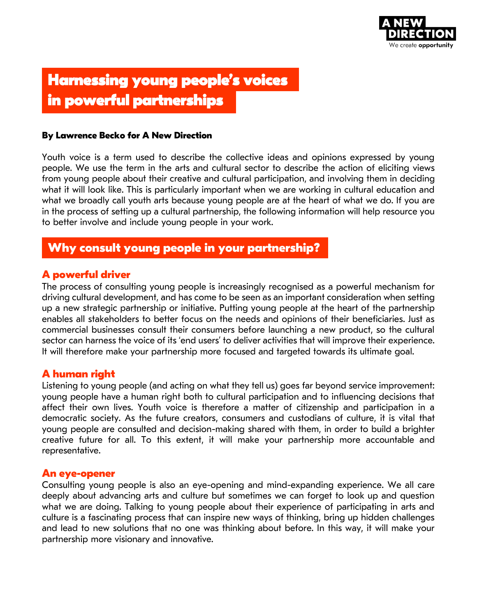

# **Harnessing young people's voices in powerful partnerships**

#### **By Lawrence Becko for A New Direction**

Youth voice is a term used to describe the collective ideas and opinions expressed by young people. We use the term in the arts and cultural sector to describe the action of eliciting views from young people about their creative and cultural participation, and involving them in deciding what it will look like. This is particularly important when we are working in cultural education and what we broadly call youth arts because young people are at the heart of what we do. If you are in the process of setting up a cultural partnership, the following information will help resource you to better involve and include young people in your work.

# **Why consult young people in your partnership?**

### **A powerful driver**

The process of consulting young people is increasingly recognised as a powerful mechanism for driving cultural development, and has come to be seen as an important consideration when setting up a new strategic partnership or initiative. Putting young people at the heart of the partnership enables all stakeholders to better focus on the needs and opinions of their beneficiaries. Just as commercial businesses consult their consumers before launching a new product, so the cultural sector can harness the voice of its 'end users' to deliver activities that will improve their experience. It will therefore make your partnership more focused and targeted towards its ultimate goal.

### **A human right**

Listening to young people (and acting on what they tell us) goes far beyond service improvement: young people have a human right both to cultural participation and to influencing decisions that affect their own lives. Youth voice is therefore a matter of citizenship and participation in a democratic society. As the future creators, consumers and custodians of culture, it is vital that young people are consulted and decision-making shared with them, in order to build a brighter creative future for all. To this extent, it will make your partnership more accountable and representative.

#### **An eye-opener**

Consulting young people is also an eye-opening and mind-expanding experience. We all care deeply about advancing arts and culture but sometimes we can forget to look up and question what we are doing. Talking to young people about their experience of participating in arts and culture is a fascinating process that can inspire new ways of thinking, bring up hidden challenges and lead to new solutions that no one was thinking about before. In this way, it will make your partnership more visionary and innovative.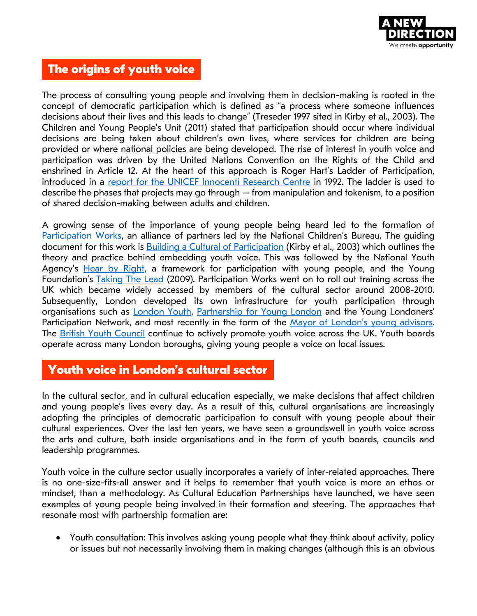

# **The origins of youth voice**

The process of consulting young people and involving them in decision-making is rooted in the concept of democratic participation which is defined as "a process where someone influences decisions about their lives and this leads to change" (Treseder 1997 sited in Kirby et al., 2003). The Children and Young People's Unit (2011) stated that participation should occur where individual decisions are being taken about children's own lives, where services for children are being provided or where national policies are being developed. The rise of interest in youth voice and participation was driven by the United Nations Convention on the Rights of the Child and enshrined in Article 12. At the heart of this approach is Roger Hart's Ladder of Participation, introduced in a [report for the UNICEF Innocenti Research Centre](https://www.unicef-irc.org/publications/100-childrens-participation-from-tokenism-to-citizenship.html) in 1992. The ladder is used to describe the phases that projects may go through – from manipulation and tokenism, to a position of shared decision-making between adults and children.

A growing sense of the importance of young people being heard led to the formation of [Participation Works,](http://www.participationworks.org.uk/) an alliance of partners led by the National Children's Bureau. The quiding document for this work is **Building a Cultural of Participation** (Kirby et al., 2003) which outlines the theory and practice behind embedding youth voice. This was followed by the National Youth Agency's [Hear by Right,](http://www.participationworks.org.uk/resources/hear-by-right-self-assessment-tool/) a framework for participation with young people, and the Young Foundation's [Taking The Lead](https://youngfoundation.org/wp-content/uploads/2012/10/Taking-the-Lead-October-2009.pdf) (2009). Participation Works went on to roll out training across the UK which became widely accessed by members of the cultural sector around 2008-2010. Subsequently, London developed its own infrastructure for youth participation through organisations such as **London Youth, [Partnership for Young London](http://www.partnershipforyounglondon.org.uk/)** and the Young Londoners' Participation Network, and most recently in the form of the [Mayor of London's young adviso](https://www.london.gov.uk/what-we-do/education-and-youth/young-londoners)rs. The [British Youth Council](http://www.byc.org.uk/uk/youthvoice) continue to actively promote youth voice across the UK. Youth boards operate across many London boroughs, giving young people a voice on local issues.

# **Youth voice in London's cultural sector**

In the cultural sector, and in cultural education especially, we make decisions that affect children and young people's lives every day. As a result of this, cultural organisations are increasingly adopting the principles of democratic participation to consult with young people about their cultural experiences. Over the last ten years, we have seen a groundswell in youth voice across the arts and culture, both inside organisations and in the form of youth boards, councils and leadership programmes.

Youth voice in the culture sector usually incorporates a variety of inter-related approaches. There is no one-size-fits-all answer and it helps to remember that youth voice is more an ethos or mindset, than a methodology. As Cultural Education Partnerships have launched, we have seen examples of young people being involved in their formation and steering. The approaches that resonate most with partnership formation are:

• Youth consultation: This involves asking young people what they think about activity, policy or issues but not necessarily involving them in making changes (although this is an obvious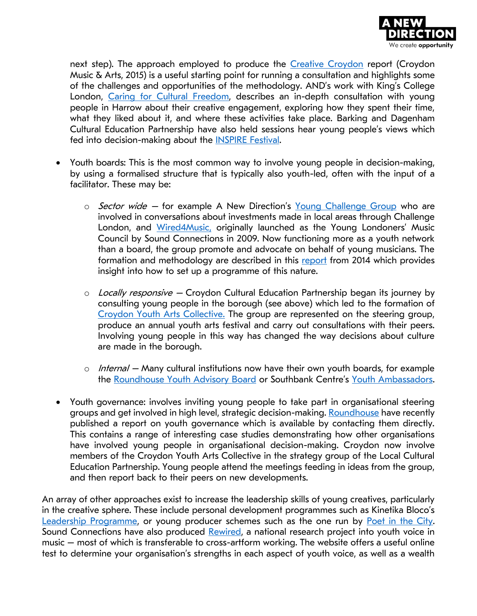

next step). The approach employed to produce the [Creative Croydon](https://www.croydonmusicandarts.co.uk/creative-croydon/) report (Croydon Music & Arts, 2015) is a useful starting point for running a consultation and highlights some of the challenges and opportunities of the methodology. AND's work with King's College London, [Caring for Cultural Freedom,](https://www.anewdirection.org.uk/research/cultural-ecology) describes an in-depth consultation with young people in Harrow about their creative engagement, exploring how they spent their time, what they liked about it, and where these activities take place. Barking and Dagenham Cultural Education Partnership have also held sessions hear young people's views which fed into decision-making about the **INSPIRE Festival**.

- Youth boards: This is the most common way to involve young people in decision-making, by using a formalised structure that is typically also youth-led, often with the input of a facilitator. These may be:
	- $\circ$  *Sector wide* for example A New Direction's [Young Challenge Group](https://www.anewdirection.org.uk/blog/we-are-recruiting-for-our-young-challenge-group) who are involved in conversations about investments made in local areas through Challenge London, and [Wired4Music,](http://www.wired4music.co.uk/) originally launched as the Young Londoners' Music Council by Sound Connections in 2009. Now functioning more as a youth network than a board, the group promote and advocate on behalf of young musicians. The formation and methodology are described in this [report](http://www.sound-connections.org.uk/rewired/wp-content/uploads/Youth-Participation-Through-Music-PDF.pdf) from 2014 which provides insight into how to set up a programme of this nature.
	- $\circ$  Locally responsive Croydon Cultural Education Partnership began its journey by consulting young people in the borough (see above) which led to the formation of [Croydon Youth Arts Collective.](https://croydonyouthartscollective.co.uk/) The group are represented on the steering group, produce an annual youth arts festival and carry out consultations with their peers. Involving young people in this way has changed the way decisions about culture are made in the borough.
	- $\circ$  Internal Many cultural institutions now have their own youth boards, for example the [Roundhouse Youth Advisory Board](http://www.roundhouse.org.uk/about-us/whos-who/roundhouse-youth-advisory-board/) or Southbank Centre's [Youth Ambassadors.](https://www.southbankcentre.co.uk/about/get-involved/young-people/youth-ambassadors)
- Youth governance: involves inviting young people to take part in organisational steering groups and get involved in high level, strategic decision-making. [Roundhouse](http://www.roundhouse.org.uk/about-us/our-work-with-young-people/youth-governance/) have recently published a report on youth governance which is available by contacting them directly. This contains a range of interesting case studies demonstrating how other organisations have involved young people in organisational decision-making. Croydon now involve members of the Croydon Youth Arts Collective in the strategy group of the Local Cultural Education Partnership. Young people attend the meetings feeding in ideas from the group, and then report back to their peers on new developments.

An array of other approaches exist to increase the leadership skills of young creatives, particularly in the creative sphere. These include personal development programmes such as Kinetika Bloco's [Leadership Programme,](http://kinetikabloco.co.uk/previous-events/2013-02/kb-leadership-film) or young producer schemes such as the one run by [Poet in the City.](http://www.poetinthecity.co.uk/poetinthecityproducers/) Sound Connections have also produced [Rewired,](http://www.sound-connections.org.uk/rewired/) a national research project into youth voice in music – most of which is transferable to cross-artform working. The website offers a useful online test to determine your organisation's strengths in each aspect of youth voice, as well as a wealth